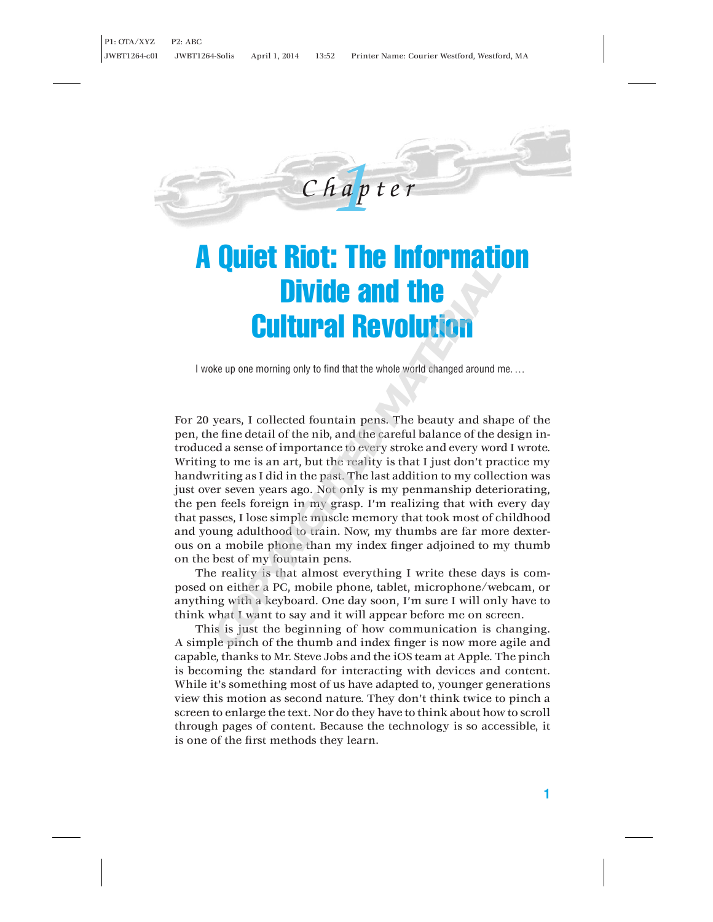

# A Quiet Riot: The Information Divide and the **Cultural Revolution**

I woke up one morning only to find that the whole world changed around me.…

For 20 years, I collected fountain pens. The beauty and shape of the pen, the fine detail of the nib, and the careful balance of the design introduced a sense of importance to every stroke and every word I wrote. Writing to me is an art, but the reality is that I just don't practice my handwriting as I did in the past. The last addition to my collection was just over seven years ago. Not only is my penmanship deteriorating, the pen feels foreign in my grasp. I'm realizing that with every day that passes, I lose simple muscle memory that took most of childhood and young adulthood to train. Now, my thumbs are far more dexterous on a mobile phone than my index finger adjoined to my thumb on the best of my fountain pens. **Cultural Revolution**<br>**Cultural Revolution**<br>We up one morning only to find that the whole world changed around years, I collected fountain pens. The beauty and shae fine detail of the nib, and the careful balance of the ed

The reality is that almost everything I write these days is composed on either a PC, mobile phone, tablet, microphone/webcam, or anything with a keyboard. One day soon, I'm sure I will only have to think what I want to say and it will appear before me on screen.

This is just the beginning of how communication is changing. A simple pinch of the thumb and index finger is now more agile and capable, thanks to Mr. Steve Jobs and the iOS team at Apple. The pinch is becoming the standard for interacting with devices and content. While it's something most of us have adapted to, younger generations view this motion as second nature. They don't think twice to pinch a screen to enlarge the text. Nor do they have to think about how to scroll through pages of content. Because the technology is so accessible, it is one of the first methods they learn.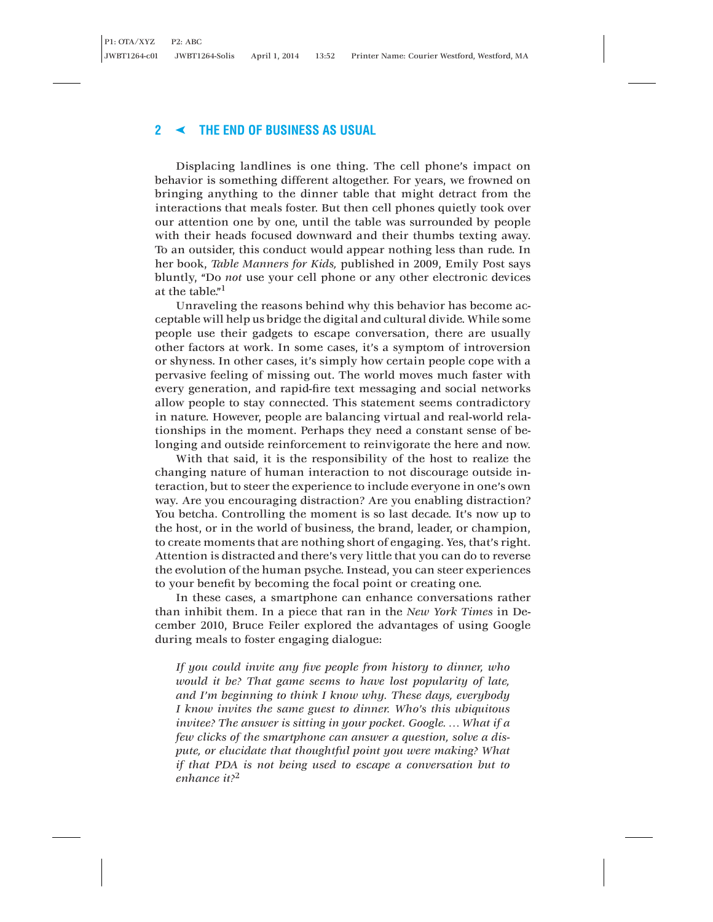## **2** ➤ **THE END OF BUSINESS AS USUAL**

Displacing landlines is one thing. The cell phone's impact on behavior is something different altogether. For years, we frowned on bringing anything to the dinner table that might detract from the interactions that meals foster. But then cell phones quietly took over our attention one by one, until the table was surrounded by people with their heads focused downward and their thumbs texting away. To an outsider, this conduct would appear nothing less than rude. In her book, *Table Manners for Kids,* published in 2009, Emily Post says bluntly, "Do *not* use your cell phone or any other electronic devices at the table."

Unraveling the reasons behind why this behavior has become acceptable will help us bridge the digital and cultural divide. While some people use their gadgets to escape conversation, there are usually other factors at work. In some cases, it's a symptom of introversion or shyness. In other cases, it's simply how certain people cope with a pervasive feeling of missing out. The world moves much faster with every generation, and rapid-fire text messaging and social networks allow people to stay connected. This statement seems contradictory in nature. However, people are balancing virtual and real-world relationships in the moment. Perhaps they need a constant sense of belonging and outside reinforcement to reinvigorate the here and now.

With that said, it is the responsibility of the host to realize the changing nature of human interaction to not discourage outside interaction, but to steer the experience to include everyone in one's own way. Are you encouraging distraction? Are you enabling distraction? You betcha. Controlling the moment is so last decade. It's now up to the host, or in the world of business, the brand, leader, or champion, to create moments that are nothing short of engaging. Yes, that's right. Attention is distracted and there's very little that you can do to reverse the evolution of the human psyche. Instead, you can steer experiences to your benefit by becoming the focal point or creating one.

In these cases, a smartphone can enhance conversations rather than inhibit them. In a piece that ran in the *New York Times* in December 2010, Bruce Feiler explored the advantages of using Google during meals to foster engaging dialogue:

*If you could invite any five people from history to dinner, who would it be? That game seems to have lost popularity of late, and I'm beginning to think I know why. These days, everybody I know invites the same guest to dinner. Who's this ubiquitous invitee? The answer is sitting in your pocket. Google.*… *What if a few clicks of the smartphone can answer a question, solve a dispute, or elucidate that thoughtful point you were making? What if that PDA is not being used to escape a conversation but to enhance it?*<sup>2</sup>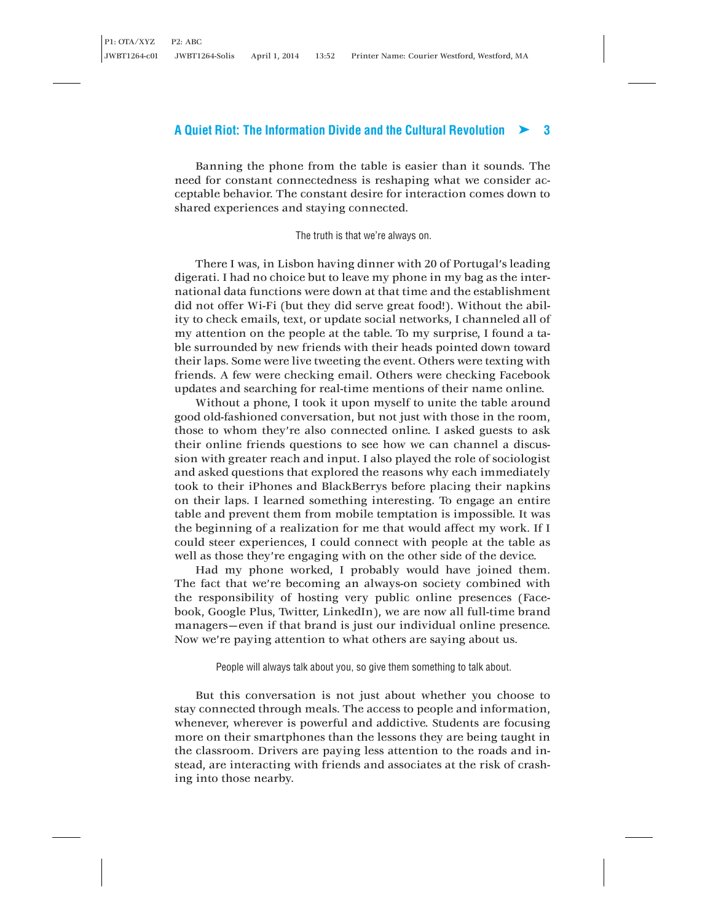### **A Quiet Riot: The Information Divide and the Cultural Revolution** ➤ **3**

Banning the phone from the table is easier than it sounds. The need for constant connectedness is reshaping what we consider acceptable behavior. The constant desire for interaction comes down to shared experiences and staying connected.

#### The truth is that we're always on.

There I was, in Lisbon having dinner with 20 of Portugal's leading digerati. I had no choice but to leave my phone in my bag as the international data functions were down at that time and the establishment did not offer Wi-Fi (but they did serve great food!). Without the ability to check emails, text, or update social networks, I channeled all of my attention on the people at the table. To my surprise, I found a table surrounded by new friends with their heads pointed down toward their laps. Some were live tweeting the event. Others were texting with friends. A few were checking email. Others were checking Facebook updates and searching for real-time mentions of their name online.

Without a phone, I took it upon myself to unite the table around good old-fashioned conversation, but not just with those in the room, those to whom they're also connected online. I asked guests to ask their online friends questions to see how we can channel a discussion with greater reach and input. I also played the role of sociologist and asked questions that explored the reasons why each immediately took to their iPhones and BlackBerrys before placing their napkins on their laps. I learned something interesting. To engage an entire table and prevent them from mobile temptation is impossible. It was the beginning of a realization for me that would affect my work. If I could steer experiences, I could connect with people at the table as well as those they're engaging with on the other side of the device.

Had my phone worked, I probably would have joined them. The fact that we're becoming an always-on society combined with the responsibility of hosting very public online presences (Facebook, Google Plus, Twitter, LinkedIn), we are now all full-time brand managers—even if that brand is just our individual online presence. Now we're paying attention to what others are saying about us.

People will always talk about you, so give them something to talk about.

But this conversation is not just about whether you choose to stay connected through meals. The access to people and information, whenever, wherever is powerful and addictive. Students are focusing more on their smartphones than the lessons they are being taught in the classroom. Drivers are paying less attention to the roads and instead, are interacting with friends and associates at the risk of crashing into those nearby.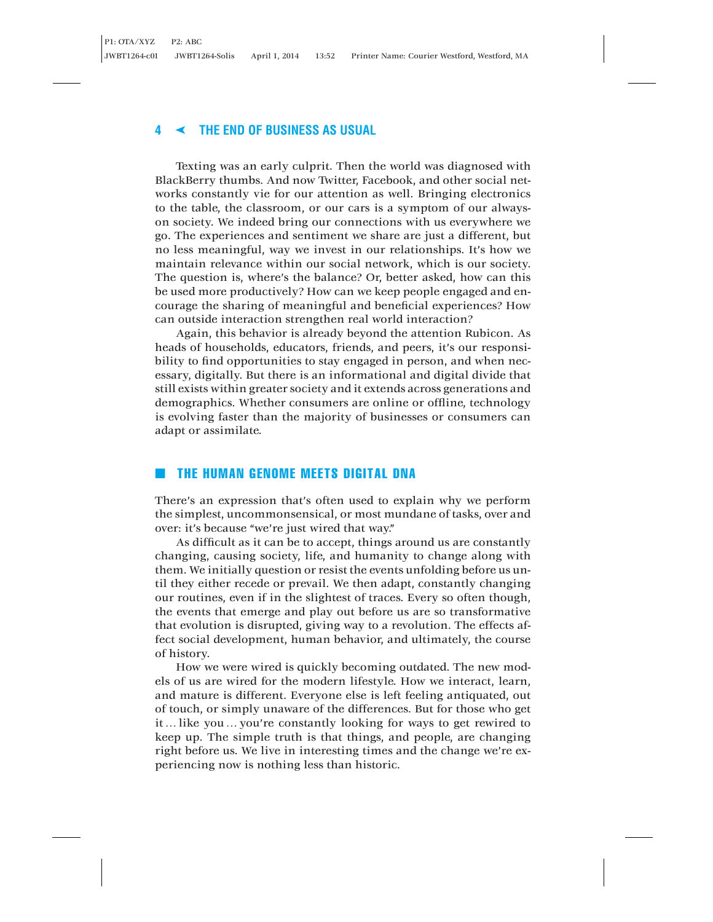## **4** ➤ **THE END OF BUSINESS AS USUAL**

Texting was an early culprit. Then the world was diagnosed with BlackBerry thumbs. And now Twitter, Facebook, and other social networks constantly vie for our attention as well. Bringing electronics to the table, the classroom, or our cars is a symptom of our alwayson society. We indeed bring our connections with us everywhere we go. The experiences and sentiment we share are just a different, but no less meaningful, way we invest in our relationships. It's how we maintain relevance within our social network, which is our society. The question is, where's the balance? Or, better asked, how can this be used more productively? How can we keep people engaged and encourage the sharing of meaningful and beneficial experiences? How can outside interaction strengthen real world interaction?

Again, this behavior is already beyond the attention Rubicon. As heads of households, educators, friends, and peers, it's our responsibility to find opportunities to stay engaged in person, and when necessary, digitally. But there is an informational and digital divide that still exists within greater society and it extends across generations and demographics. Whether consumers are online or offline, technology is evolving faster than the majority of businesses or consumers can adapt or assimilate.

## **THE HUMAN GENOME MEETS DIGITAL DNA**

There's an expression that's often used to explain why we perform the simplest, uncommonsensical, or most mundane of tasks, over and over: it's because "we're just wired that way."

As difficult as it can be to accept, things around us are constantly changing, causing society, life, and humanity to change along with them. We initially question or resist the events unfolding before us until they either recede or prevail. We then adapt, constantly changing our routines, even if in the slightest of traces. Every so often though, the events that emerge and play out before us are so transformative that evolution is disrupted, giving way to a revolution. The effects affect social development, human behavior, and ultimately, the course of history.

How we were wired is quickly becoming outdated. The new models of us are wired for the modern lifestyle. How we interact, learn, and mature is different. Everyone else is left feeling antiquated, out of touch, or simply unaware of the differences. But for those who get it…like you … you're constantly looking for ways to get rewired to keep up. The simple truth is that things, and people, are changing right before us. We live in interesting times and the change we're experiencing now is nothing less than historic.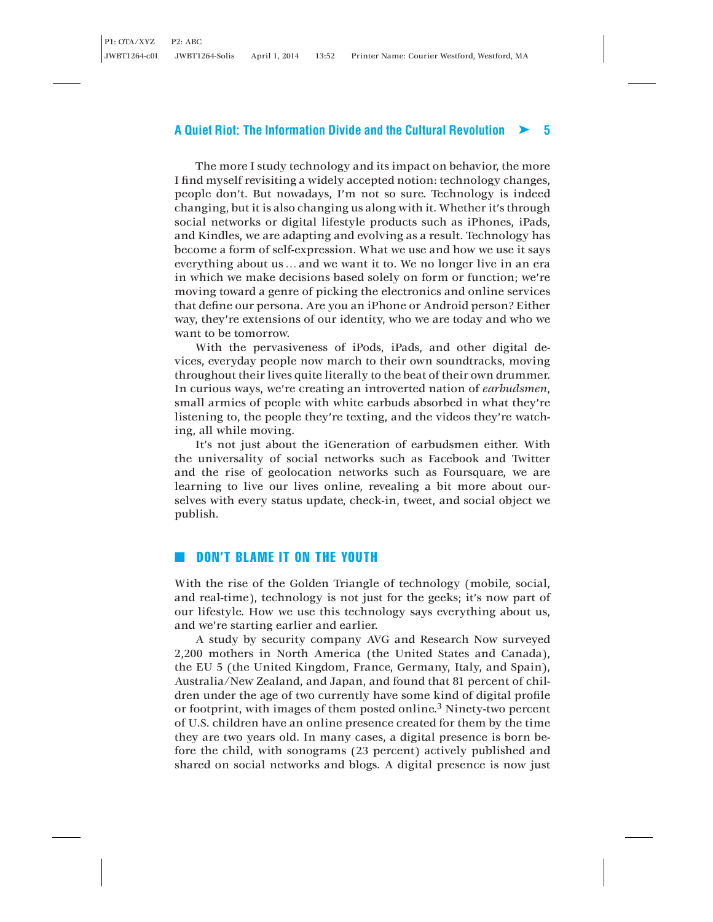#### **A Quiet Riot: The Information Divide and the Cultural Revolution** ➤ **5**

The more I study technology and its impact on behavior, the more I find myself revisiting a widely accepted notion: technology changes, people don't. But nowadays, I'm not so sure. Technology is indeed changing, but it is also changing us along with it. Whether it's through social networks or digital lifestyle products such as iPhones, iPads, and Kindles, we are adapting and evolving as a result. Technology has become a form of self-expression. What we use and how we use it says everything about us …and we want it to. We no longer live in an era in which we make decisions based solely on form or function; we're moving toward a genre of picking the electronics and online services that define our persona. Are you an iPhone or Android person? Either way, they're extensions of our identity, who we are today and who we want to be tomorrow.

With the pervasiveness of iPods, iPads, and other digital devices, everyday people now march to their own soundtracks, moving throughout their lives quite literally to the beat of their own drummer. In curious ways, we're creating an introverted nation of *earbudsmen*, small armies of people with white earbuds absorbed in what they're listening to, the people they're texting, and the videos they're watching, all while moving.

It's not just about the iGeneration of earbudsmen either. With the universality of social networks such as Facebook and Twitter and the rise of geolocation networks such as Foursquare, we are learning to live our lives online, revealing a bit more about ourselves with every status update, check-in, tweet, and social object we publish.

## ■ DON'T BLAME IT ON THE YOUTH

With the rise of the Golden Triangle of technology (mobile, social, and real-time), technology is not just for the geeks; it's now part of our lifestyle. How we use this technology says everything about us, and we're starting earlier and earlier.

A study by security company AVG and Research Now surveyed 2,200 mothers in North America (the United States and Canada), the EU 5 (the United Kingdom, France, Germany, Italy, and Spain), Australia/New Zealand, and Japan, and found that 81 percent of children under the age of two currently have some kind of digital profile or footprint, with images of them posted online.<sup>3</sup> Ninety-two percent of U.S. children have an online presence created for them by the time they are two years old. In many cases, a digital presence is born before the child, with sonograms (23 percent) actively published and shared on social networks and blogs. A digital presence is now just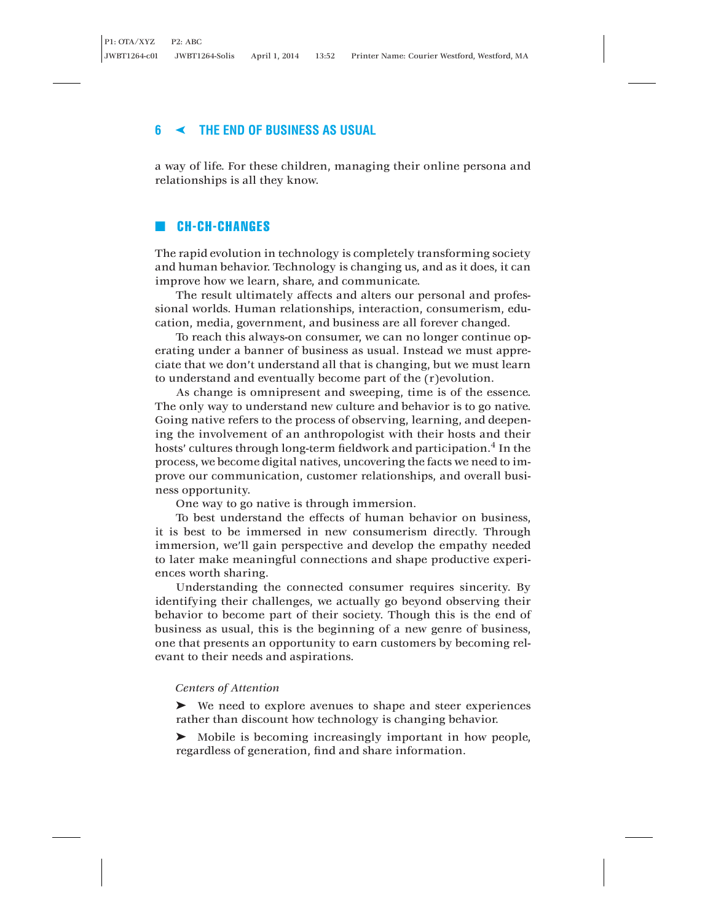## **6** ➤ **THE END OF BUSINESS AS USUAL**

a way of life. For these children, managing their online persona and relationships is all they know.

### ■ CH-CH-CHANGES

The rapid evolution in technology is completely transforming society and human behavior. Technology is changing us, and as it does, it can improve how we learn, share, and communicate.

The result ultimately affects and alters our personal and professional worlds. Human relationships, interaction, consumerism, education, media, government, and business are all forever changed.

To reach this always-on consumer, we can no longer continue operating under a banner of business as usual. Instead we must appreciate that we don't understand all that is changing, but we must learn to understand and eventually become part of the (r)evolution.

As change is omnipresent and sweeping, time is of the essence. The only way to understand new culture and behavior is to go native. Going native refers to the process of observing, learning, and deepening the involvement of an anthropologist with their hosts and their hosts' cultures through long-term fieldwork and participation.<sup>4</sup> In the process, we become digital natives, uncovering the facts we need to improve our communication, customer relationships, and overall business opportunity.

One way to go native is through immersion.

To best understand the effects of human behavior on business, it is best to be immersed in new consumerism directly. Through immersion, we'll gain perspective and develop the empathy needed to later make meaningful connections and shape productive experiences worth sharing.

Understanding the connected consumer requires sincerity. By identifying their challenges, we actually go beyond observing their behavior to become part of their society. Though this is the end of business as usual, this is the beginning of a new genre of business, one that presents an opportunity to earn customers by becoming relevant to their needs and aspirations.

#### *Centers of Attention*

➤ We need to explore avenues to shape and steer experiences rather than discount how technology is changing behavior.

➤ Mobile is becoming increasingly important in how people, regardless of generation, find and share information.